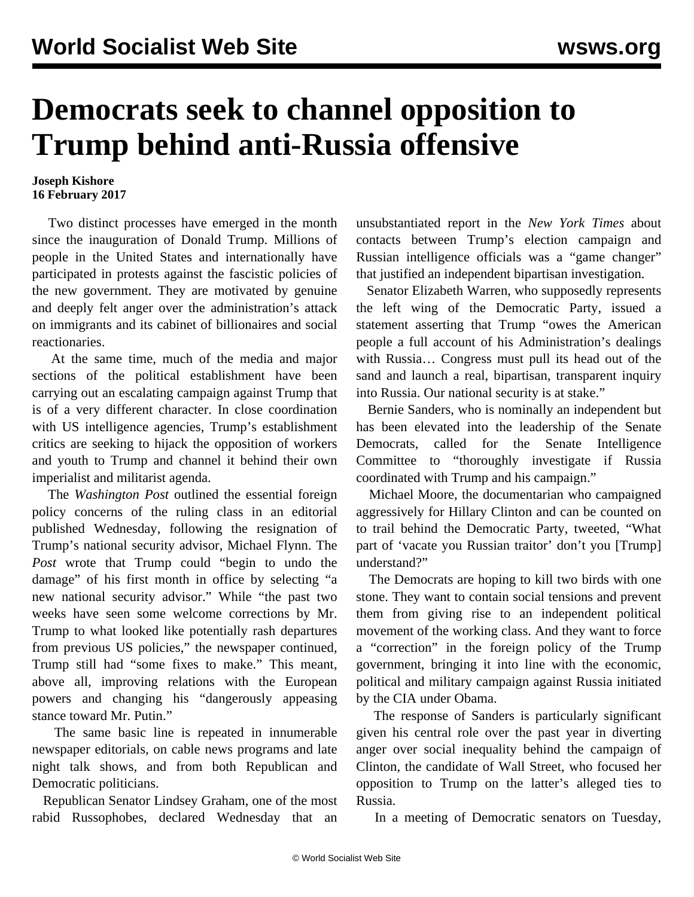## **Democrats seek to channel opposition to Trump behind anti-Russia offensive**

## **Joseph Kishore 16 February 2017**

 Two distinct processes have emerged in the month since the inauguration of Donald Trump. Millions of people in the United States and internationally have participated in protests against the fascistic policies of the new government. They are motivated by genuine and deeply felt anger over the administration's attack on immigrants and its cabinet of billionaires and social reactionaries.

 At the same time, much of the media and major sections of the political establishment have been carrying out an escalating campaign against Trump that is of a very different character. In close coordination with US intelligence agencies, Trump's establishment critics are seeking to hijack the opposition of workers and youth to Trump and channel it behind their own imperialist and militarist agenda.

 The *Washington Post* outlined the essential foreign policy concerns of the ruling class in an editorial published Wednesday, following the resignation of Trump's national security advisor, Michael Flynn. The *Post* wrote that Trump could "begin to undo the damage" of his first month in office by selecting "a new national security advisor." While "the past two weeks have seen some welcome corrections by Mr. Trump to what looked like potentially rash departures from previous US policies," the newspaper continued, Trump still had "some fixes to make." This meant, above all, improving relations with the European powers and changing his "dangerously appeasing stance toward Mr. Putin."

 The same basic line is repeated in innumerable newspaper editorials, on cable news programs and late night talk shows, and from both Republican and Democratic politicians.

 Republican Senator Lindsey Graham, one of the most rabid Russophobes, declared Wednesday that an

unsubstantiated report in the *New York Times* about contacts between Trump's election campaign and Russian intelligence officials was a "game changer" that justified an independent bipartisan investigation.

 Senator Elizabeth Warren, who supposedly represents the left wing of the Democratic Party, issued a statement asserting that Trump "owes the American people a full account of his Administration's dealings with Russia… Congress must pull its head out of the sand and launch a real, bipartisan, transparent inquiry into Russia. Our national security is at stake."

 Bernie Sanders, who is nominally an independent but has been elevated into the leadership of the Senate Democrats, called for the Senate Intelligence Committee to "thoroughly investigate if Russia coordinated with Trump and his campaign."

 Michael Moore, the documentarian who campaigned aggressively for Hillary Clinton and can be counted on to trail behind the Democratic Party, tweeted, "What part of 'vacate you Russian traitor' don't you [Trump] understand?"

 The Democrats are hoping to kill two birds with one stone. They want to contain social tensions and prevent them from giving rise to an independent political movement of the working class. And they want to force a "correction" in the foreign policy of the Trump government, bringing it into line with the economic, political and military campaign against Russia initiated by the CIA under Obama.

 The response of Sanders is particularly significant given his central role over the past year in diverting anger over social inequality behind the campaign of Clinton, the candidate of Wall Street, who focused her opposition to Trump on the latter's alleged ties to Russia.

In a meeting of Democratic senators on Tuesday,